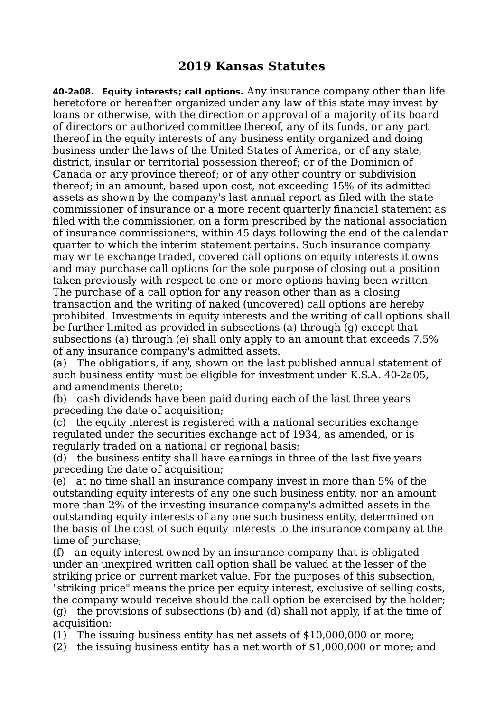## **2019 Kansas Statutes**

**40-2a08. Equity interests; call options.** Any insurance company other than life heretofore or hereafter organized under any law of this state may invest by loans or otherwise, with the direction or approval of a majority of its board of directors or authorized committee thereof, any of its funds, or any part thereof in the equity interests of any business entity organized and doing business under the laws of the United States of America, or of any state, district, insular or territorial possession thereof; or of the Dominion of Canada or any province thereof; or of any other country or subdivision thereof; in an amount, based upon cost, not exceeding 15% of its admitted assets as shown by the company's last annual report as filed with the state commissioner of insurance or a more recent quarterly financial statement as filed with the commissioner, on a form prescribed by the national association of insurance commissioners, within 45 days following the end of the calendar quarter to which the interim statement pertains. Such insurance company may write exchange traded, covered call options on equity interests it owns and may purchase call options for the sole purpose of closing out a position taken previously with respect to one or more options having been written. The purchase of a call option for any reason other than as a closing transaction and the writing of naked (uncovered) call options are hereby prohibited. Investments in equity interests and the writing of call options shall be further limited as provided in subsections (a) through (g) except that subsections (a) through (e) shall only apply to an amount that exceeds 7.5% of any insurance company's admitted assets.

(a) The obligations, if any, shown on the last published annual statement of such business entity must be eligible for investment under K.S.A. 40-2a05, and amendments thereto;

(b) cash dividends have been paid during each of the last three years preceding the date of acquisition;

(c) the equity interest is registered with a national securities exchange regulated under the securities exchange act of 1934, as amended, or is regularly traded on a national or regional basis;

(d) the business entity shall have earnings in three of the last five years preceding the date of acquisition;

(e) at no time shall an insurance company invest in more than 5% of the outstanding equity interests of any one such business entity, nor an amount more than 2% of the investing insurance company's admitted assets in the outstanding equity interests of any one such business entity, determined on the basis of the cost of such equity interests to the insurance company at the time of purchase;

(f) an equity interest owned by an insurance company that is obligated under an unexpired written call option shall be valued at the lesser of the striking price or current market value. For the purposes of this subsection, "striking price" means the price per equity interest, exclusive of selling costs, the company would receive should the call option be exercised by the holder; (g) the provisions of subsections (b) and (d) shall not apply, if at the time of acquisition:

(1) The issuing business entity has net assets of \$10,000,000 or more;

(2) the issuing business entity has a net worth of \$1,000,000 or more; and